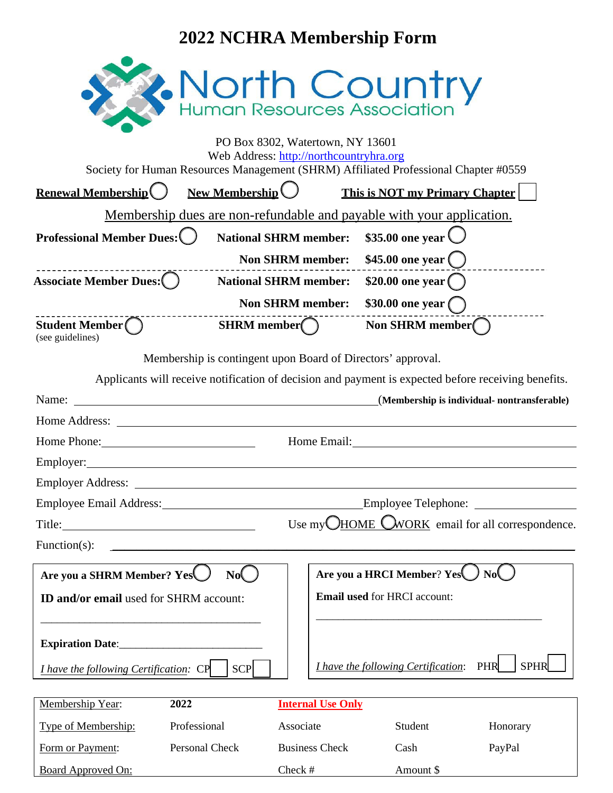## **2022 NCHRA Membership Form**

| North Country                                                                                                                                                                                                                        |                                                         |                          |                                                 |                                             |  |  |  |
|--------------------------------------------------------------------------------------------------------------------------------------------------------------------------------------------------------------------------------------|---------------------------------------------------------|--------------------------|-------------------------------------------------|---------------------------------------------|--|--|--|
|                                                                                                                                                                                                                                      |                                                         |                          |                                                 |                                             |  |  |  |
| PO Box 8302, Watertown, NY 13601                                                                                                                                                                                                     |                                                         |                          |                                                 |                                             |  |  |  |
| Web Address: http://northcountryhra.org<br>Society for Human Resources Management (SHRM) Affiliated Professional Chapter #0559                                                                                                       |                                                         |                          |                                                 |                                             |  |  |  |
| <b>Renewal Membership</b>                                                                                                                                                                                                            | <b>New Membership</b>                                   |                          | This is NOT my Primary Chapter                  |                                             |  |  |  |
| Membership dues are non-refundable and payable with your application.                                                                                                                                                                |                                                         |                          |                                                 |                                             |  |  |  |
| <b>Professional Member Dues:</b>                                                                                                                                                                                                     | <b>National SHRM member:</b>                            |                          |                                                 | \$35.00 one year \                          |  |  |  |
|                                                                                                                                                                                                                                      |                                                         | <b>Non SHRM member:</b>  | $$45.00$ one year $()$                          |                                             |  |  |  |
| <b>Associate Member Dues:</b> ( )                                                                                                                                                                                                    | <b>National SHRM member:</b>                            |                          | \$20.00 one year $\bigcap$                      |                                             |  |  |  |
|                                                                                                                                                                                                                                      | <b>Non SHRM member:</b>                                 |                          |                                                 |                                             |  |  |  |
| Student Member $\bigcap$                                                                                                                                                                                                             | <b>SHRM</b> member $\bigcap$                            |                          | $$30.00$ one year $\bigcirc$<br>Non SHRM member |                                             |  |  |  |
| (see guidelines)                                                                                                                                                                                                                     |                                                         |                          |                                                 |                                             |  |  |  |
| Membership is contingent upon Board of Directors' approval.                                                                                                                                                                          |                                                         |                          |                                                 |                                             |  |  |  |
| Applicants will receive notification of decision and payment is expected before receiving benefits.                                                                                                                                  |                                                         |                          |                                                 |                                             |  |  |  |
| Name: <u>Name:</u> Name: 2008                                                                                                                                                                                                        |                                                         |                          |                                                 | (Membership is individual- nontransferable) |  |  |  |
| Home Address: <u>New York Contract and Secretary and Secretary and Secretary and Secretary and Secretary and Secretary and Secretary and Secretary and Secretary and Secretary and Secretary and Secretary and Secretary and Sec</u> |                                                         |                          |                                                 |                                             |  |  |  |
| Home Phone: 2008                                                                                                                                                                                                                     |                                                         |                          |                                                 |                                             |  |  |  |
|                                                                                                                                                                                                                                      |                                                         |                          |                                                 |                                             |  |  |  |
| Employer Address: <u>the contract of the contract of the contract of the contract of the contract of the contract of the contract of the contract of the contract of the contract of the contract of the contract of the contrac</u> |                                                         |                          |                                                 |                                             |  |  |  |
| Employee Email Address: No. 1996                                                                                                                                                                                                     |                                                         |                          |                                                 |                                             |  |  |  |
|                                                                                                                                                                                                                                      | Use my <b>CHOME</b> CWORK email for all correspondence. |                          |                                                 |                                             |  |  |  |
| Function(s):                                                                                                                                                                                                                         |                                                         |                          |                                                 |                                             |  |  |  |
| Are you a SHRM Member? Yes                                                                                                                                                                                                           | Nof                                                     |                          | Are you a HRCI Member? Yes                      | Nol                                         |  |  |  |
| <b>ID and/or email used for SHRM account:</b>                                                                                                                                                                                        |                                                         |                          | <b>Email used for HRCI account:</b>             |                                             |  |  |  |
|                                                                                                                                                                                                                                      |                                                         |                          |                                                 |                                             |  |  |  |
|                                                                                                                                                                                                                                      |                                                         |                          |                                                 |                                             |  |  |  |
|                                                                                                                                                                                                                                      |                                                         |                          |                                                 |                                             |  |  |  |
| I have the following Certification: CP                                                                                                                                                                                               | <b>SCP</b>                                              |                          | <i>I have the following Certification:</i>      | <b>SPHR</b><br>PHR                          |  |  |  |
| Membership Year:<br>2022                                                                                                                                                                                                             |                                                         | <b>Internal Use Only</b> |                                                 |                                             |  |  |  |
| Type of Membership:<br>Professional                                                                                                                                                                                                  |                                                         | Associate                | Student                                         | Honorary                                    |  |  |  |

| Type of Membership:       | Professional   | Associate             | Student   | Honorary |
|---------------------------|----------------|-----------------------|-----------|----------|
| Form or Payment:          | Personal Check | <b>Business Check</b> | Cash      | PavPal   |
| <b>Board Approved On:</b> |                | Check #               | Amount \$ |          |